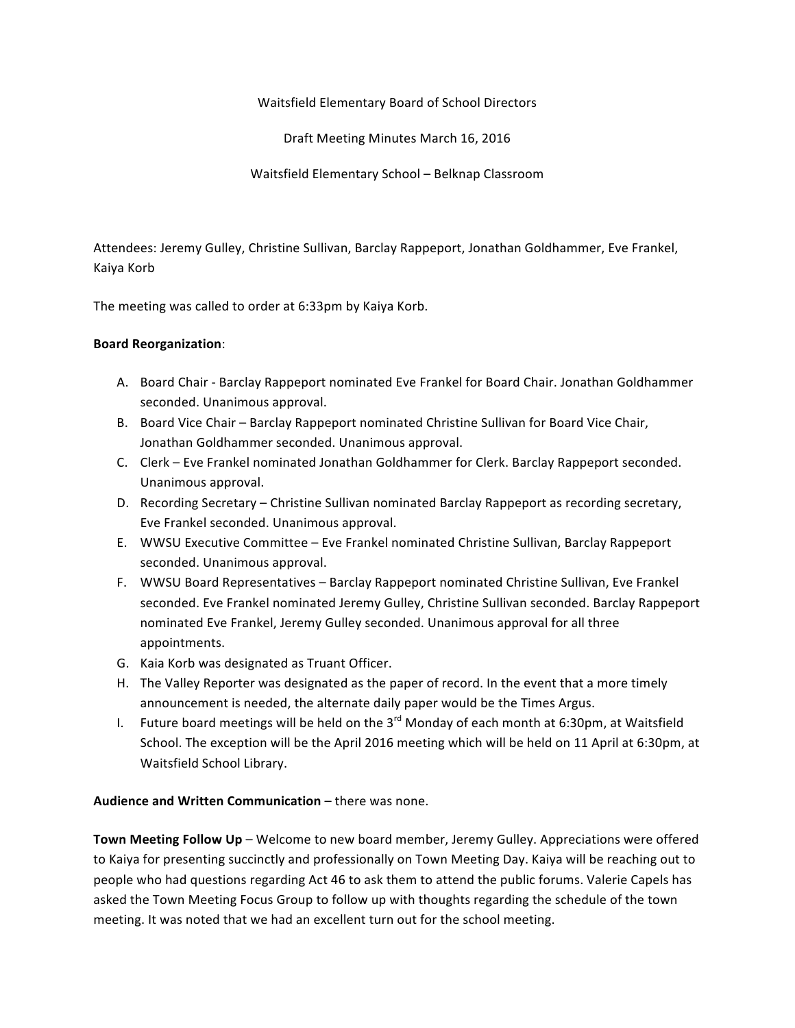Waitsfield Elementary Board of School Directors

Draft Meeting Minutes March 16, 2016

Waitsfield Elementary School – Belknap Classroom

Attendees: Jeremy Gulley, Christine Sullivan, Barclay Rappeport, Jonathan Goldhammer, Eve Frankel, Kaiya Korb

The meeting was called to order at 6:33pm by Kaiya Korb.

#### **Board Reorganization**:

- A. Board Chair Barclay Rappeport nominated Eve Frankel for Board Chair. Jonathan Goldhammer seconded. Unanimous approval.
- B. Board Vice Chair Barclay Rappeport nominated Christine Sullivan for Board Vice Chair, Jonathan Goldhammer seconded. Unanimous approval.
- C. Clerk Eve Frankel nominated Jonathan Goldhammer for Clerk. Barclay Rappeport seconded. Unanimous approval.
- D. Recording Secretary Christine Sullivan nominated Barclay Rappeport as recording secretary, Eve Frankel seconded. Unanimous approval.
- E. WWSU Executive Committee Eve Frankel nominated Christine Sullivan, Barclay Rappeport seconded. Unanimous approval.
- F. WWSU Board Representatives Barclay Rappeport nominated Christine Sullivan, Eve Frankel seconded. Eve Frankel nominated Jeremy Gulley, Christine Sullivan seconded. Barclay Rappeport nominated Eve Frankel, Jeremy Gulley seconded. Unanimous approval for all three appointments.
- G. Kaia Korb was designated as Truant Officer.
- H. The Valley Reporter was designated as the paper of record. In the event that a more timely announcement is needed, the alternate daily paper would be the Times Argus.
- I. Future board meetings will be held on the  $3^{rd}$  Monday of each month at 6:30pm, at Waitsfield School. The exception will be the April 2016 meeting which will be held on 11 April at 6:30pm, at Waitsfield School Library.

#### **Audience and Written Communication** – there was none.

**Town Meeting Follow Up** – Welcome to new board member, Jeremy Gulley. Appreciations were offered to Kaiya for presenting succinctly and professionally on Town Meeting Day. Kaiya will be reaching out to people who had questions regarding Act 46 to ask them to attend the public forums. Valerie Capels has asked the Town Meeting Focus Group to follow up with thoughts regarding the schedule of the town meeting. It was noted that we had an excellent turn out for the school meeting.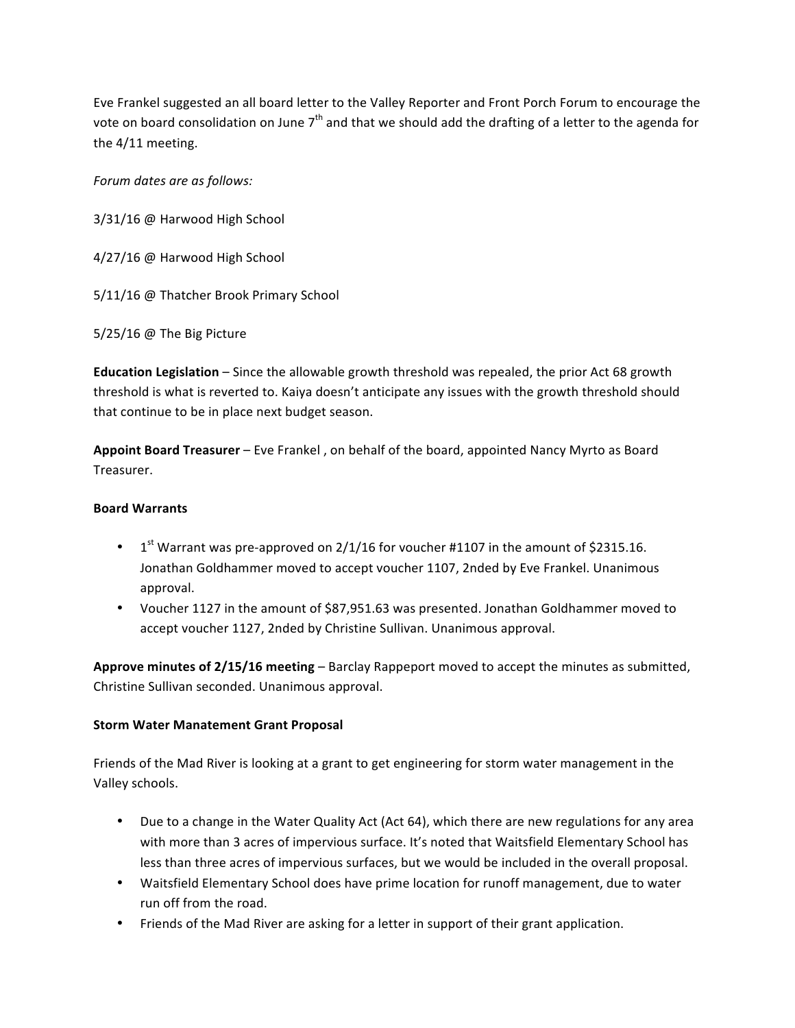Eve Frankel suggested an all board letter to the Valley Reporter and Front Porch Forum to encourage the vote on board consolidation on June  $7<sup>th</sup>$  and that we should add the drafting of a letter to the agenda for the 4/11 meeting.

*Forum dates are as follows:*

3/31/16 @ Harwood High School

4/27/16 @ Harwood High School

5/11/16 @ Thatcher Brook Primary School

5/25/16 @ The Big Picture

**Education Legislation** – Since the allowable growth threshold was repealed, the prior Act 68 growth threshold is what is reverted to. Kaiya doesn't anticipate any issues with the growth threshold should that continue to be in place next budget season.

Appoint Board Treasurer – Eve Frankel, on behalf of the board, appointed Nancy Myrto as Board Treasurer.

#### **Board Warrants**

- $1<sup>st</sup>$  Warrant was pre-approved on 2/1/16 for voucher #1107 in the amount of \$2315.16. Jonathan Goldhammer moved to accept voucher 1107, 2nded by Eve Frankel. Unanimous approval.
- Voucher 1127 in the amount of \$87,951.63 was presented. Jonathan Goldhammer moved to accept voucher 1127, 2nded by Christine Sullivan. Unanimous approval.

**Approve minutes of 2/15/16 meeting** – Barclay Rappeport moved to accept the minutes as submitted, Christine Sullivan seconded. Unanimous approval.

## **Storm Water Manatement Grant Proposal**

Friends of the Mad River is looking at a grant to get engineering for storm water management in the Valley schools. 

- Due to a change in the Water Quality Act (Act 64), which there are new regulations for any area with more than 3 acres of impervious surface. It's noted that Waitsfield Elementary School has less than three acres of impervious surfaces, but we would be included in the overall proposal.
- Waitsfield Elementary School does have prime location for runoff management, due to water run off from the road.
- Friends of the Mad River are asking for a letter in support of their grant application.